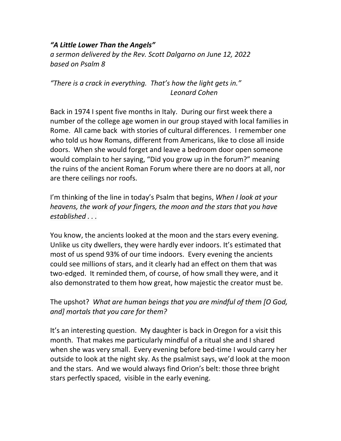## *"A Little Lower Than the Angels"*

*a sermon delivered by the Rev. Scott Dalgarno on June 12, 2022 based on Psalm 8*

## *"There is a crack in everything. That's how the light gets in." Leonard Cohen*

Back in 1974 I spent five months in Italy. During our first week there a number of the college age women in our group stayed with local families in Rome. All came back with stories of cultural differences. I remember one who told us how Romans, different from Americans, like to close all inside doors. When she would forget and leave a bedroom door open someone would complain to her saying, "Did you grow up in the forum?" meaning the ruins of the ancient Roman Forum where there are no doors at all, nor are there ceilings nor roofs.

I'm thinking of the line in today's Psalm that begins, *When I look at your heavens, the work of your fingers, the moon and the stars that you have established . . .* 

You know, the ancients looked at the moon and the stars every evening. Unlike us city dwellers, they were hardly ever indoors. It's estimated that most of us spend 93% of our time indoors. Every evening the ancients could see millions of stars, and it clearly had an effect on them that was two-edged. It reminded them, of course, of how small they were, and it also demonstrated to them how great, how majestic the creator must be.

The upshot? *What are human beings that you are mindful of them [O God, and] mortals that you care for them?*

It's an interesting question. My daughter is back in Oregon for a visit this month. That makes me particularly mindful of a ritual she and I shared when she was very small. Every evening before bed-time I would carry her outside to look at the night sky. As the psalmist says, we'd look at the moon and the stars. And we would always find Orion's belt: those three bright stars perfectly spaced, visible in the early evening.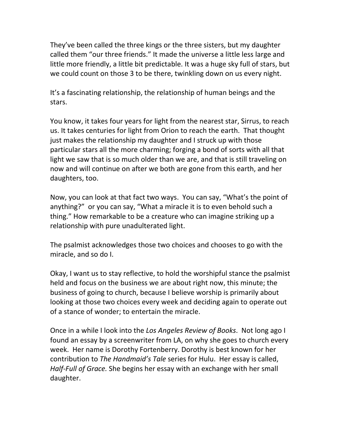They've been called the three kings or the three sisters, but my daughter called them "our three friends." It made the universe a little less large and little more friendly, a little bit predictable. It was a huge sky full of stars, but we could count on those 3 to be there, twinkling down on us every night.

It's a fascinating relationship, the relationship of human beings and the stars.

You know, it takes four years for light from the nearest star, Sirrus, to reach us. It takes centuries for light from Orion to reach the earth. That thought just makes the relationship my daughter and I struck up with those particular stars all the more charming; forging a bond of sorts with all that light we saw that is so much older than we are, and that is still traveling on now and will continue on after we both are gone from this earth, and her daughters, too.

Now, you can look at that fact two ways. You can say, "What's the point of anything?" or you can say, "What a miracle it is to even behold such a thing." How remarkable to be a creature who can imagine striking up a relationship with pure unadulterated light.

The psalmist acknowledges those two choices and chooses to go with the miracle, and so do I.

Okay, I want us to stay reflective, to hold the worshipful stance the psalmist held and focus on the business we are about right now, this minute; the business of going to church, because I believe worship is primarily about looking at those two choices every week and deciding again to operate out of a stance of wonder; to entertain the miracle.

Once in a while I look into the *Los Angeles Review of Books*. Not long ago I found an essay by a screenwriter from LA, on why she goes to church every week. Her name is Dorothy Fortenberry. Dorothy is best known for her contribution to *The Handmaid's Tale* series for Hulu. Her essay is called, *Half-Full of Grace.* She begins her essay with an exchange with her small daughter.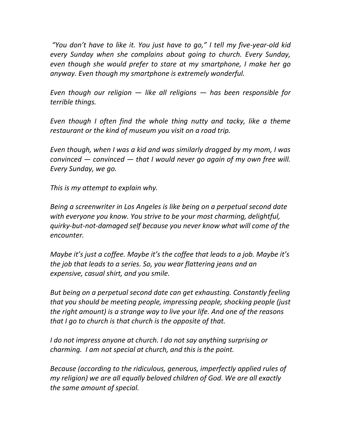*"You don't have to like it. You just have to go," I tell my five-year-old kid every Sunday when she complains about going to church. Every Sunday, even though she would prefer to stare at my smartphone, I make her go anyway. Even though my smartphone is extremely wonderful.*

*Even though our religion — like all religions — has been responsible for terrible things.*

*Even though I often find the whole thing nutty and tacky, like a theme restaurant or the kind of museum you visit on a road trip.*

*Even though, when I was a kid and was similarly dragged by my mom, I was convinced — convinced — that I would never go again of my own free will. Every Sunday, we go.*

*This is my attempt to explain why.*

*Being a screenwriter in Los Angeles is like being on a perpetual second date with everyone you know. You strive to be your most charming, delightful, quirky-but-not-damaged self because you never know what will come of the encounter.* 

*Maybe it's just a coffee. Maybe it's the coffee that leads to a job. Maybe it's the job that leads to a series. So, you wear flattering jeans and an expensive, casual shirt, and you smile.*

*But being on a perpetual second date can get exhausting. Constantly feeling that you should be meeting people, impressing people, shocking people (just the right amount) is a strange way to live your life. And one of the reasons that I go to church is that church is the opposite of that.*

*I do not impress anyone at church. I do not say anything surprising or charming. I am not special at church, and this is the point.* 

*Because (according to the ridiculous, generous, imperfectly applied rules of my religion) we are all equally beloved children of God. We are all exactly the same amount of special.*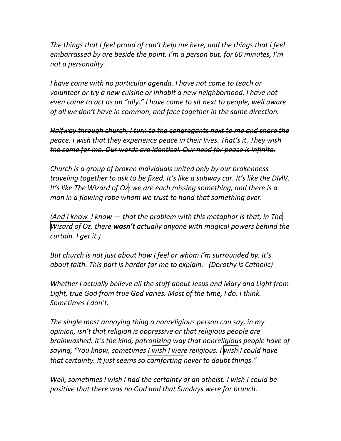*The things that I feel proud of can't help me here, and the things that I feel embarrassed by are beside the point. I'm a person but, for 60 minutes, I'm not a personality.*

*I have come with no particular agenda. I have not come to teach or volunteer or try a new cuisine or inhabit a new neighborhood. I have not even come to act as an "ally." I have come to sit next to people, well aware of all we don't have in common, and face together in the same direction.* 

*Halfway through church, I turn to the congregants next to me and share the peace. I wish that they experience peace in their lives. That's it. They wish the same for me. Our words are identical. Our need for peace is infinite.*

*Church is a group of broken individuals united only by our brokenness traveling together to ask to be fixed. It's like a subway car. It's like the DMV. It's like The Wizard of Oz: we are each missing something, and there is a man in a flowing robe whom we trust to hand that something over.*

*(And I know I know — that the problem with this metaphor is that, in The Wizard of Oz, there wasn't actually anyone with magical powers behind the curtain. I get it.)*

*But church is not just about how I feel or whom I'm surrounded by. It's about faith. This part is harder for me to explain. (Dorothy is Catholic)*

*Whether I actually believe all the stuff about Jesus and Mary and Light from Light, true God from true God varies. Most of the time, I do, I think. Sometimes I don't.*

*The single most annoying thing a nonreligious person can say, in my opinion, isn't that religion is oppressive or that religious people are brainwashed. It's the kind, patronizing way that nonreligious people have of saying, "You know, sometimes I wish I were religious. I wish I could have that certainty. It just seems so comforting never to doubt things."*

*Well, sometimes I wish I had the certainty of an atheist. I wish I could be positive that there was no God and that Sundays were for brunch.*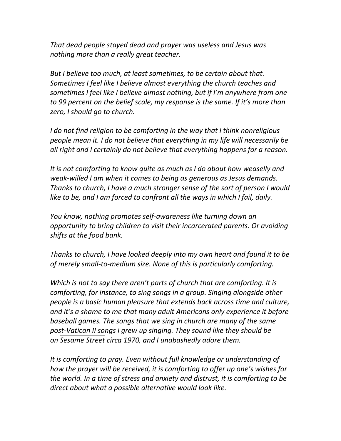*That dead people stayed dead and prayer was useless and Jesus was nothing more than a really great teacher.*

*But I believe too much, at least sometimes, to be certain about that. Sometimes I feel like I believe almost everything the church teaches and sometimes I feel like I believe almost nothing, but if I'm anywhere from one to 99 percent on the belief scale, my response is the same. If it's more than zero, I should go to church.*

*I do not find religion to be comforting in the way that I think nonreligious people mean it. I do not believe that everything in my life will necessarily be all right and I certainly do not believe that everything happens for a reason.*

*It is not comforting to know quite as much as I do about how weaselly and weak-willed I am when it comes to being as generous as Jesus demands. Thanks to church, I have a much stronger sense of the sort of person I would like to be, and I am forced to confront all the ways in which I fail, daily.*

*You know, nothing promotes self-awareness like turning down an opportunity to bring children to visit their incarcerated parents. Or avoiding shifts at the food bank.* 

*Thanks to church, I have looked deeply into my own heart and found it to be of merely small-to-medium size. None of this is particularly comforting.*

*Which is not to say there aren't parts of church that are comforting. It is comforting, for instance, to sing songs in a group. Singing alongside other people is a basic human pleasure that extends back across time and culture, and it's a shame to me that many adult Americans only experience it before baseball games. The songs that we sing in church are many of the same post-Vatican II songs I grew up singing. They sound like they should be on Sesame Street circa 1970, and I unabashedly adore them.* 

*It is comforting to pray. Even without full knowledge or understanding of how the prayer will be received, it is comforting to offer up one's wishes for the world. In a time of stress and anxiety and distrust, it is comforting to be direct about what a possible alternative would look like.*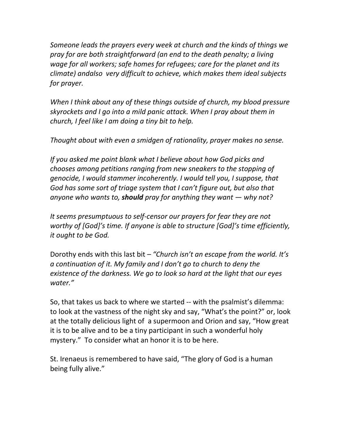*Someone leads the prayers every week at church and the kinds of things we pray for are both straightforward (an end to the death penalty; a living wage for all workers; safe homes for refugees; care for the planet and its climate) andalso very difficult to achieve, which makes them ideal subjects for prayer.*

*When I think about any of these things outside of church, my blood pressure skyrockets and I go into a mild panic attack. When I pray about them in church, I feel like I am doing a tiny bit to help.*

*Thought about with even a smidgen of rationality, prayer makes no sense.*

*If you asked me point blank what I believe about how God picks and chooses among petitions ranging from new sneakers to the stopping of genocide, I would stammer incoherently. I would tell you, I suppose, that God has some sort of triage system that I can't figure out, but also that anyone who wants to, should pray for anything they want — why not?*

*It seems presumptuous to self-censor our prayers for fear they are not worthy of [God]'s time. If anyone is able to structure [God]'s time efficiently, it ought to be God.*

Dorothy ends with this last bit *– "Church isn't an escape from the world. It's a continuation of it. My family and I don't go to church to deny the existence of the darkness. We go to look so hard at the light that our eyes water."*

So, that takes us back to where we started -- with the psalmist's dilemma: to look at the vastness of the night sky and say, "What's the point?" or, look at the totally delicious light of a supermoon and Orion and say, "How great it is to be alive and to be a tiny participant in such a wonderful holy mystery." To consider what an honor it is to be here.

St. Irenaeus is remembered to have said, "The glory of God is a human being fully alive."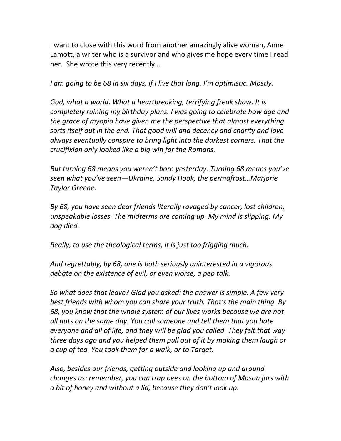I want to close with this word from another amazingly alive woman, Anne Lamott, a writer who is a survivor and who gives me hope every time I read her. She wrote this very recently …

*I am going to be 68 in six days, if I live that long. I'm optimistic. Mostly.* 

*God, what a world. What a heartbreaking, terrifying freak show. It is completely ruining my birthday plans. I was going to celebrate how age and the grace of myopia have given me the perspective that almost everything sorts itself out in the end. That good will and decency and charity and love always eventually conspire to bring light into the darkest corners. That the crucifixion only looked like a big win for the Romans.* 

*But turning 68 means you weren't born yesterday. Turning 68 means you've seen what you've seen—Ukraine, Sandy Hook, the permafrost…Marjorie Taylor Greene.* 

*By 68, you have seen dear friends literally ravaged by cancer, lost children, unspeakable losses. The midterms are coming up. My mind is slipping. My dog died.*

*Really, to use the theological terms, it is just too frigging much.*

*And regrettably, by 68, one is both seriously uninterested in a vigorous debate on the existence of evil, or even worse, a pep talk.*

*So what does that leave? Glad you asked: the answer is simple. A few very best friends with whom you can share your truth. That's the main thing. By 68, you know that the whole system of our lives works because we are not all nuts on the same day. You call someone and tell them that you hate everyone and all of life, and they will be glad you called. They felt that way three days ago and you helped them pull out of it by making them laugh or a cup of tea. You took them for a walk, or to Target.*

*Also, besides our friends, getting outside and looking up and around changes us: remember, you can trap bees on the bottom of Mason jars with a bit of honey and without a lid, because they don't look up.*